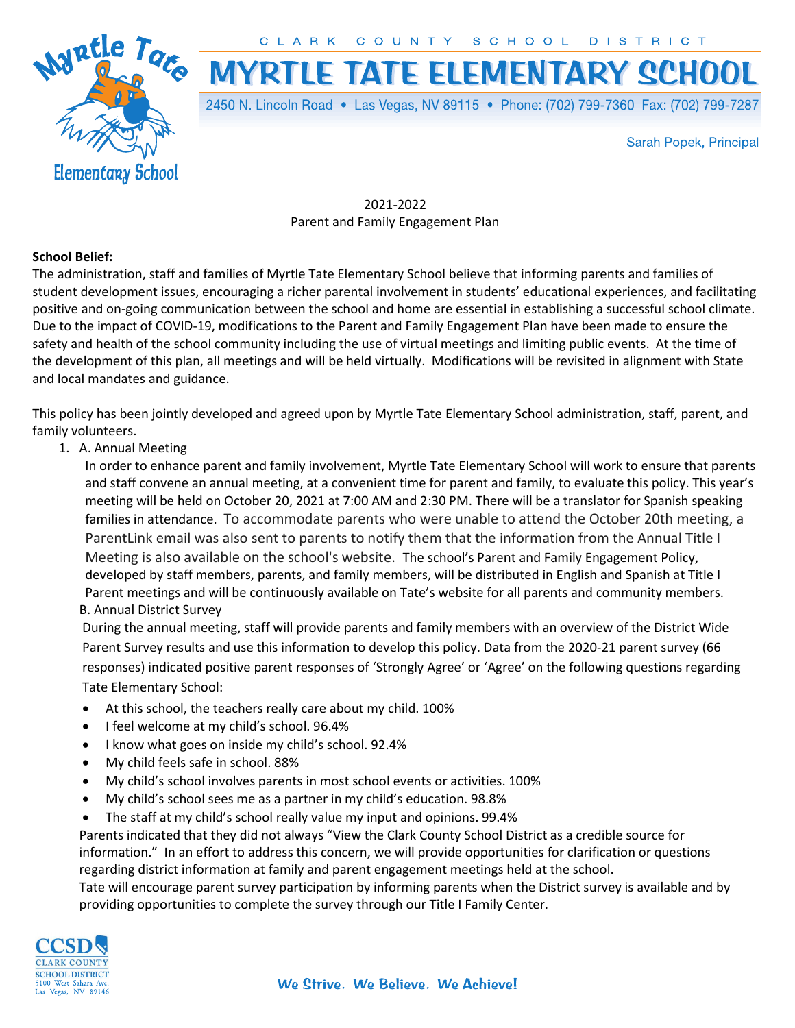CLARK COUNTY SCHOOL DISTRICT



**MYRTLE TATE ELEMENTARY SCHOOL** 

2450 N. Lincoln Road • Las Vegas, NV 89115 • Phone: (702) 799-7360 Fax: (702) 799-7287

Sarah Popek, Principal

2021-2022 Parent and Family Engagement Plan

## School Belief:

The administration, staff and families of Myrtle Tate Elementary School believe that informing parents and families of student development issues, encouraging a richer parental involvement in students' educational experiences, and facilitating positive and on-going communication between the school and home are essential in establishing a successful school climate. Due to the impact of COVID-19, modifications to the Parent and Family Engagement Plan have been made to ensure the safety and health of the school community including the use of virtual meetings and limiting public events. At the time of the development of this plan, all meetings and will be held virtually. Modifications will be revisited in alignment with State and local mandates and guidance.

This policy has been jointly developed and agreed upon by Myrtle Tate Elementary School administration, staff, parent, and family volunteers.

1. A. Annual Meeting

In order to enhance parent and family involvement, Myrtle Tate Elementary School will work to ensure that parents and staff convene an annual meeting, at a convenient time for parent and family, to evaluate this policy. This year's meeting will be held on October 20, 2021 at 7:00 AM and 2:30 PM. There will be a translator for Spanish speaking families in attendance. To accommodate parents who were unable to attend the October 20th meeting, a ParentLink email was also sent to parents to notify them that the information from the Annual Title I Meeting is also available on the school's website. The school's Parent and Family Engagement Policy, developed by staff members, parents, and family members, will be distributed in English and Spanish at Title I Parent meetings and will be continuously available on Tate's website for all parents and community members. B. Annual District Survey

During the annual meeting, staff will provide parents and family members with an overview of the District Wide Parent Survey results and use this information to develop this policy. Data from the 2020-21 parent survey (66 responses) indicated positive parent responses of 'Strongly Agree' or 'Agree' on the following questions regarding Tate Elementary School:

- At this school, the teachers really care about my child. 100%
- **I** feel welcome at my child's school. 96.4%
- I know what goes on inside my child's school. 92.4%
- My child feels safe in school. 88%
- My child's school involves parents in most school events or activities. 100%
- My child's school sees me as a partner in my child's education. 98.8%
- The staff at my child's school really value my input and opinions. 99.4%

Parents indicated that they did not always "View the Clark County School District as a credible source for information." In an effort to address this concern, we will provide opportunities for clarification or questions regarding district information at family and parent engagement meetings held at the school.

Tate will encourage parent survey participation by informing parents when the District survey is available and by providing opportunities to complete the survey through our Title I Family Center.